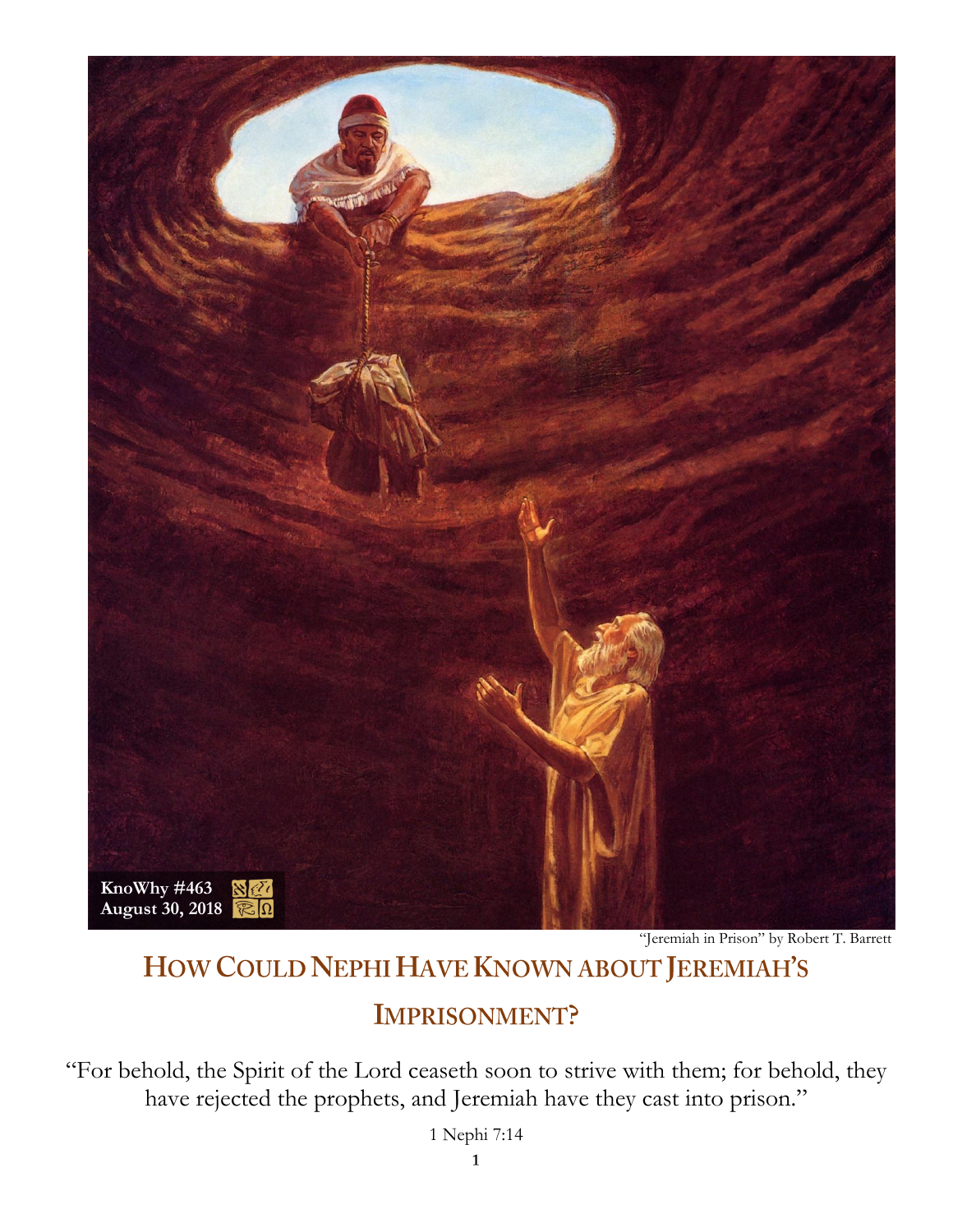

"Jeremiah in Prison" by Robert T. Barrett

# HOW COULD NEPHI HAVE KNOWN ABOUT JEREMIAH'S

## **IMPRISONMENT?**

"For behold, the Spirit of the Lord ceaseth soon to strive with them; for behold, they have rejected the prophets, and Jeremiah have they cast into prison."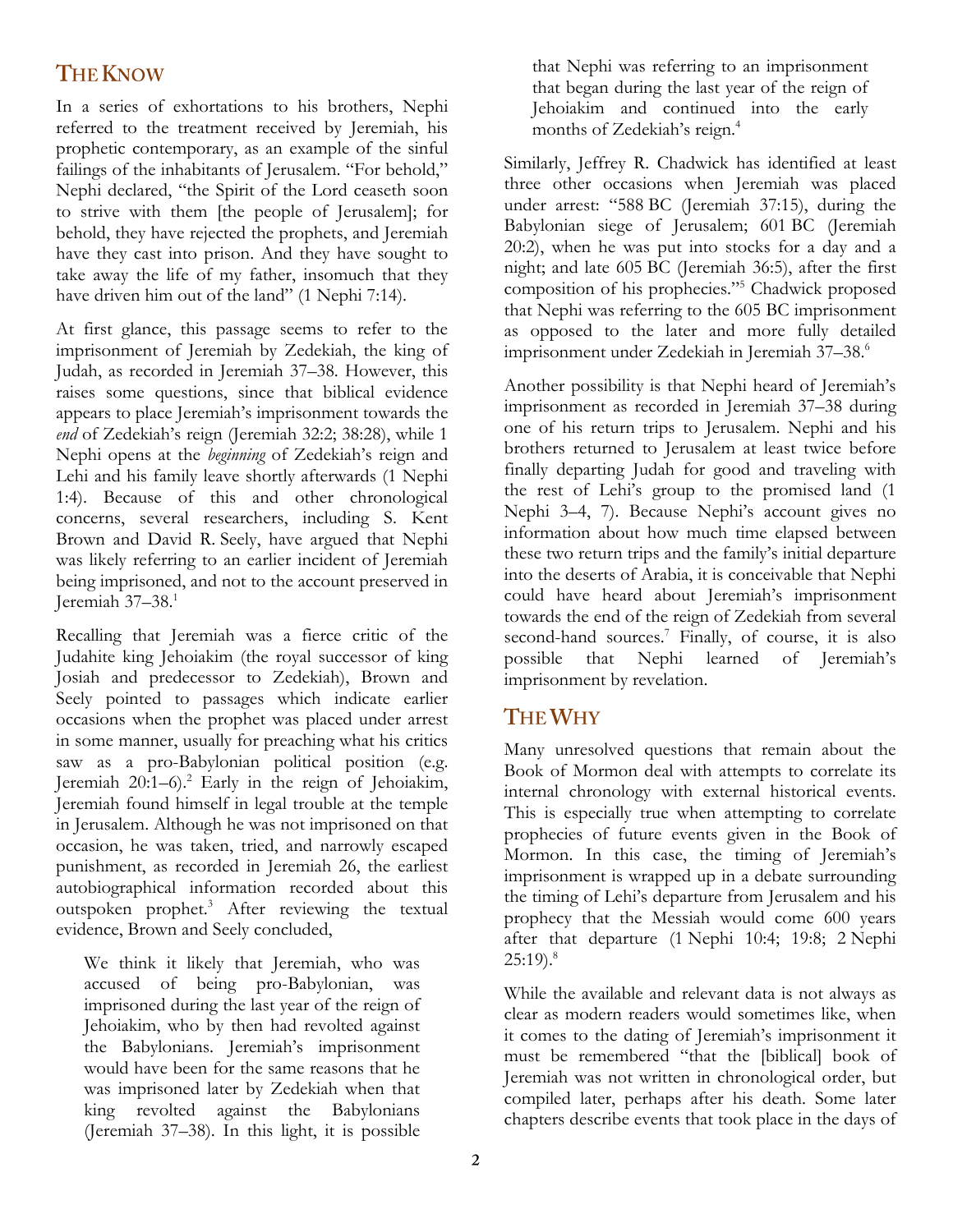## **THE KNOW**

In a series of exhortations to his brothers, Nephi referred to the treatment received by Jeremiah, his prophetic contemporary, as an example of the sinful failings of the inhabitants of Jerusalem. "For behold," Nephi declared, "the Spirit of the Lord ceaseth soon to strive with them [the people of Jerusalem]; for behold, they have rejected the prophets, and Jeremiah have they cast into prison. And they have sought to take away the life of my father, insomuch that they have driven him out of the land" (1 Nephi 7:14).

At first glance, this passage seems to refer to the imprisonment of Jeremiah by Zedekiah, the king of Judah, as recorded in Jeremiah 37–38. However, this raises some questions, since that biblical evidence appears to place Jeremiah's imprisonment towards the *end* of Zedekiah's reign (Jeremiah 32:2; 38:28), while 1 Nephi opens at the *beginning* of Zedekiah's reign and Lehi and his family leave shortly afterwards (1 Nephi 1:4). Because of this and other chronological concerns, several researchers, including S. Kent Brown and David R. Seely, have argued that Nephi was likely referring to an earlier incident of Jeremiah being imprisoned, and not to the account preserved in Jeremiah 37–38.<sup>1</sup>

Recalling that Jeremiah was a fierce critic of the Judahite king Jehoiakim (the royal successor of king Josiah and predecessor to Zedekiah), Brown and Seely pointed to passages which indicate earlier occasions when the prophet was placed under arrest in some manner, usually for preaching what his critics saw as a pro-Babylonian political position (e.g. Jeremiah  $20:1-6$ .<sup>2</sup> Early in the reign of Jehoiakim, Jeremiah found himself in legal trouble at the temple in Jerusalem. Although he was not imprisoned on that occasion, he was taken, tried, and narrowly escaped punishment, as recorded in Jeremiah 26, the earliest autobiographical information recorded about this outspoken prophet.<sup>3</sup> After reviewing the textual evidence, Brown and Seely concluded,

We think it likely that Jeremiah, who was accused of being pro-Babylonian, was imprisoned during the last year of the reign of Jehoiakim, who by then had revolted against the Babylonians. Jeremiah's imprisonment would have been for the same reasons that he was imprisoned later by Zedekiah when that king revolted against the Babylonians (Jeremiah 37–38). In this light, it is possible

that Nephi was referring to an imprisonment that began during the last year of the reign of Jehoiakim and continued into the early months of Zedekiah's reign.<sup>4</sup>

Similarly, Jeffrey R. Chadwick has identified at least three other occasions when Jeremiah was placed under arrest: "588 BC (Jeremiah 37:15), during the Babylonian siege of Jerusalem; 601 BC (Jeremiah 20:2), when he was put into stocks for a day and a night; and late 605 BC (Jeremiah 36:5), after the first composition of his prophecies."<sup>5</sup> Chadwick proposed that Nephi was referring to the 605 BC imprisonment as opposed to the later and more fully detailed imprisonment under Zedekiah in Jeremiah 37–38.<sup>6</sup>

Another possibility is that Nephi heard of Jeremiah's imprisonment as recorded in Jeremiah 37–38 during one of his return trips to Jerusalem. Nephi and his brothers returned to Jerusalem at least twice before finally departing Judah for good and traveling with the rest of Lehi's group to the promised land (1 Nephi 3–4, 7). Because Nephi's account gives no information about how much time elapsed between these two return trips and the family's initial departure into the deserts of Arabia, it is conceivable that Nephi could have heard about Jeremiah's imprisonment towards the end of the reign of Zedekiah from several second-hand sources.<sup>7</sup> Finally, of course, it is also possible that Nephi learned of Jeremiah's imprisonment by revelation.

### **THE WHY**

Many unresolved questions that remain about the Book of Mormon deal with attempts to correlate its internal chronology with external historical events. This is especially true when attempting to correlate prophecies of future events given in the Book of Mormon. In this case, the timing of Jeremiah's imprisonment is wrapped up in a debate surrounding the timing of Lehi's departure from Jerusalem and his prophecy that the Messiah would come 600 years after that departure (1 Nephi 10:4; 19:8; 2 Nephi  $25:19$ <sup>8</sup>

While the available and relevant data is not always as clear as modern readers would sometimes like, when it comes to the dating of Jeremiah's imprisonment it must be remembered "that the [biblical] book of Jeremiah was not written in chronological order, but compiled later, perhaps after his death. Some later chapters describe events that took place in the days of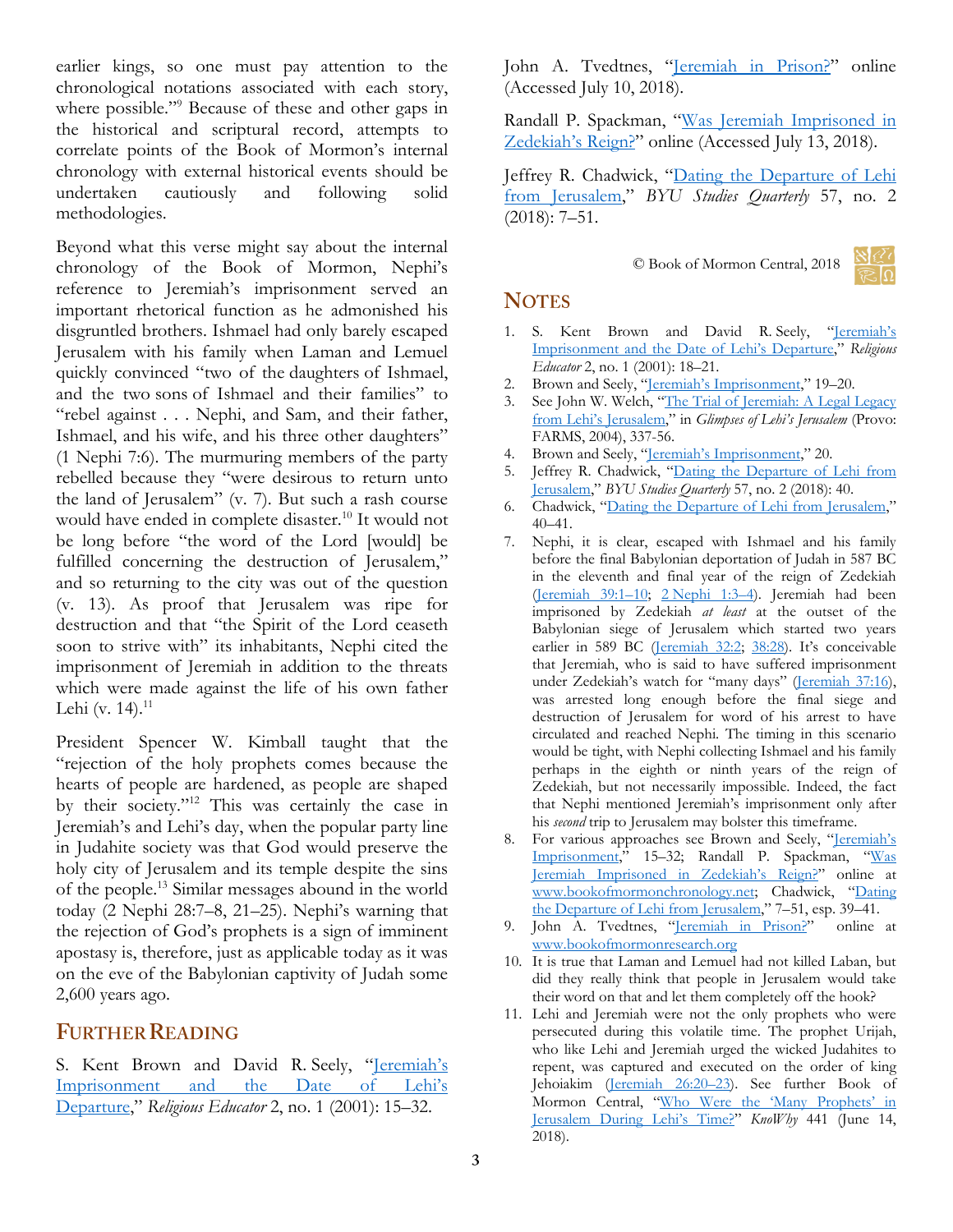earlier kings, so one must pay attention to the chronological notations associated with each story, where possible."<sup>9</sup> Because of these and other gaps in the historical and scriptural record, attempts to correlate points of the Book of Mormon's internal chronology with external historical events should be undertaken cautiously and following solid methodologies.

Beyond what this verse might say about the internal chronology of the Book of Mormon, Nephi's reference to Jeremiah's imprisonment served an important rhetorical function as he admonished his disgruntled brothers. Ishmael had only barely escaped Jerusalem with his family when Laman and Lemuel quickly convinced "two of the daughters of Ishmael, and the two sons of Ishmael and their families" to "rebel against . . . Nephi, and Sam, and their father, Ishmael, and his wife, and his three other daughters" (1 Nephi 7:6). The murmuring members of the party rebelled because they "were desirous to return unto the land of Jerusalem" (v. 7). But such a rash course would have ended in complete disaster.<sup>10</sup> It would not be long before "the word of the Lord [would] be fulfilled concerning the destruction of Jerusalem," and so returning to the city was out of the question (v. 13). As proof that Jerusalem was ripe for destruction and that "the Spirit of the Lord ceaseth soon to strive with" its inhabitants, Nephi cited the imprisonment of Jeremiah in addition to the threats which were made against the life of his own father Lehi (v. 14). $^{11}$ 

President Spencer W. Kimball taught that the "rejection of the holy prophets comes because the hearts of people are hardened, as people are shaped by their society."<sup>12</sup> This was certainly the case in Jeremiah's and Lehi's day, when the popular party line in Judahite society was that God would preserve the holy city of Jerusalem and its temple despite the sins of the people.<sup>13</sup> Similar messages abound in the world today (2 Nephi 28:7–8, 21–25). Nephi's warning that the rejection of God's prophets is a sign of imminent apostasy is, therefore, just as applicable today as it was on the eve of the Babylonian captivity of Judah some 2,600 years ago.

#### **FURTHER READING**

S. Kent Brown and David R. Seely, "Jeremiah's Imprisonment and the Date of Lehi's [Departure](https://archive.bookofmormoncentral.org/content/jeremiahs-imprisonment-and-date-lehis-departure)," *Religious Educator* 2, no. 1 (2001): 15–32.

John A. Tvedtnes, "[Jeremiah in Prison?](https://bookofmormonresearch.org/book-of-mormon-criticisms/jeremiah-in-prison)" online (Accessed July 10, 2018).

Randall P. Spackman, "[Was Jeremiah Imprisoned in](http://www.bookofmormonchronology.net/uploads/3/7/7/6/3776503/part_8.1_jeremiah_imprisoned_in_zedekiahs_reign.pdf)  [Zedekiah's Reign?"](http://www.bookofmormonchronology.net/uploads/3/7/7/6/3776503/part_8.1_jeremiah_imprisoned_in_zedekiahs_reign.pdf) online (Accessed July 13, 2018).

Jeffrey R. Chadwick, "[Dating the Departure of Lehi](https://byustudies.byu.edu/content/dating-departure-lehi-from-jerusalem)  [from Jerusalem](https://byustudies.byu.edu/content/dating-departure-lehi-from-jerusalem)," *BYU Studies Quarterly* 57, no. 2 (2018): 7–51.

© Book of Mormon Central, 2018



#### **NOTES**

- 1. S. Kent Brown and David R. Seely, "Jeremiah's [Imprisonment and the Date of Lehi's Departure,](https://archive.bookofmormoncentral.org/content/jeremiahs-imprisonment-and-date-lehis-departure)" *Religious Educator* 2, no. 1 (2001): 18–21.
- 2. Brown and Seely, "<u>Jeremiah's [Imprisonment](https://archive.bookofmormoncentral.org/content/jeremiahs-imprisonment-and-date-lehis-departure)</u>," 19–20.
- 3. See John W. Welch, "The Trial of Jeremiah: A Legal Legacy [from Lehi's Jerusalem,"](https://publications.mi.byu.edu/fullscreen/?pub=1081&index=11) in *Glimpses of Lehi's Jerusalem* (Provo: FARMS, 2004), 337-56.
- 4. Brown and Seely, ["Jeremiah's Imprisonment,"](https://archive.bookofmormoncentral.org/content/jeremiahs-imprisonment-and-date-lehis-departure) 20.
- 5. Jeffrey R. Chadwick, "[Dating the Departure of Lehi from](https://byustudies.byu.edu/content/dating-departure-lehi-from-jerusalem)  [Jerusalem](https://byustudies.byu.edu/content/dating-departure-lehi-from-jerusalem)," *BYU Studies Quarterly* 57, no. 2 (2018): 40.
- 6. Chadwick, "[Dating the Departure of Lehi from Jerusalem](https://byustudies.byu.edu/content/dating-departure-lehi-from-jerusalem)," 40–41.
- 7. Nephi, it is clear, escaped with Ishmael and his family before the final Babylonian deportation of Judah in 587 BC in the eleventh and final year of the reign of Zedekiah [\(Jeremiah 39:1](https://www.lds.org/scriptures/ot/jer/39.1-10?lang=eng#primary)–10; 2 [Nephi 1:3](https://www.lds.org/scriptures/bofm/2-ne/1.3-4?lang=eng#p2)–4). Jeremiah had been imprisoned by Zedekiah *at least* at the outset of the Babylonian siege of Jerusalem which started two years earlier in 589 BC [\(Jeremiah 32:2;](https://www.lds.org/scriptures/ot/jer/32.2?lang=eng#p1) [38:28](https://www.lds.org/scriptures/ot/jer/38.28?lang=eng#p27)). It's conceivable that Jeremiah, who is said to have suffered imprisonment under Zedekiah's watch for "many days" ([Jeremiah 37:16\)](https://www.lds.org/scriptures/ot/jer/37.16?lang=eng#p15), was arrested long enough before the final siege and destruction of Jerusalem for word of his arrest to have circulated and reached Nephi. The timing in this scenario would be tight, with Nephi collecting Ishmael and his family perhaps in the eighth or ninth years of the reign of Zedekiah, but not necessarily impossible. Indeed, the fact that Nephi mentioned Jeremiah's imprisonment only after his *second* trip to Jerusalem may bolster this timeframe.
- 8. For various approaches see Brown and Seely, "Jeremiah's [Imprisonment](https://archive.bookofmormoncentral.org/content/jeremiahs-imprisonment-and-date-lehis-departure)," 15–32; Randall P. Spackman, "[Was](http://www.bookofmormonchronology.net/uploads/3/7/7/6/3776503/part_8.1_jeremiah_imprisoned_in_zedekiahs_reign.pdf)  [Jeremiah Imprisoned in Zedekiah's Reign?"](http://www.bookofmormonchronology.net/uploads/3/7/7/6/3776503/part_8.1_jeremiah_imprisoned_in_zedekiahs_reign.pdf) online at [www.bookofmormonchronology.net](file:///C:/Users/Jonathon/Downloads/www.bookofmormonchronology.net); Chadwick, "[Dating](https://byustudies.byu.edu/content/dating-departure-lehi-from-jerusalem)  [the Departure of Lehi from Jerusalem](https://byustudies.byu.edu/content/dating-departure-lehi-from-jerusalem)," 7–51, esp. 39–41.
- 9. John A. Tvedtnes, "[Jeremiah in Prison?](https://bookofmormonresearch.org/book-of-mormon-criticisms/jeremiah-in-prison)" online at [www.bookofmormonresearch.org](http://www.bookofmormonresearch.org/)
- 10. It is true that Laman and Lemuel had not killed Laban, but did they really think that people in Jerusalem would take their word on that and let them completely off the hook?
- 11. Lehi and Jeremiah were not the only prophets who were persecuted during this volatile time. The prophet Urijah, who like Lehi and Jeremiah urged the wicked Judahites to repent, was captured and executed on the order of king Jehoiakim [\(Jeremiah 26:20](https://www.lds.org/scriptures/ot/jer/26.20-23?lang=eng#p19)-23). See further Book of Mormon Central, "Who Were the 'Many Prophets' in [Jerusalem During Lehi's Time?"](https://knowhy.bookofmormoncentral.org/content/who-were-the-many-prophets-in-jerusalem-during-lehis-time) *KnoWhy* 441 (June 14, 2018).